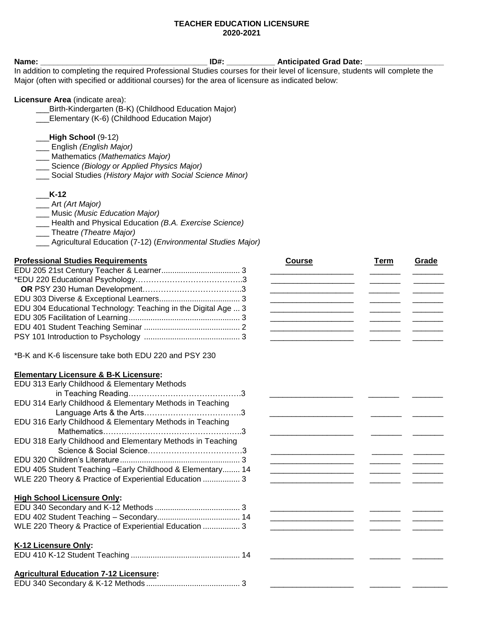### **TEACHER EDUCATION LICENSURE 2020-2021**

| Name:                                                                                                                        | $ID#$ : | <b>Anticipated Grad Date:</b> |
|------------------------------------------------------------------------------------------------------------------------------|---------|-------------------------------|
| In addition to completing the required Professional Studies courses for their level of licensure, students will complete the |         |                               |
| Major (often with specified or additional courses) for the area of licensure as indicated below:                             |         |                               |
| <b>Licensure Area</b> (indicate area):                                                                                       |         |                               |
| Birth-Kindergarten (B-K) (Childhood Education Major)                                                                         |         |                               |
| _Elementary (K-6) (Childhood Education Major)                                                                                |         |                               |
|                                                                                                                              |         |                               |
| $High School (9-12)$                                                                                                         |         |                               |
| ___ English (English Major)                                                                                                  |         |                               |

- \_\_\_ Mathematics *(Mathematics Major)*
- \_\_\_ Science *(Biology or Applied Physics Major)*
- \_\_\_ Social Studies *(History Major with Social Science Minor)*
- \_\_\_**K-12**
- \_\_\_ Art *(Art Major)*
- \_\_\_ Music *(Music Education Major)*
- \_\_\_ Health and Physical Education *(B.A. Exercise Science)*
- \_\_\_ Theatre *(Theatre Major)*
- \_\_\_ Agricultural Education (7-12) (*Environmental Studies Major)*

## **Professional Studies Requirements Accessional Studies Requirements Accessional Studies Requirements Accessional Course Course Accessional Studies Requirements Accessional Studies Requirements**

| EDU 304 Educational Technology: Teaching in the Digital Age  3 |  |
|----------------------------------------------------------------|--|
|                                                                |  |
|                                                                |  |
|                                                                |  |

\*B-K and K-6 liscensure take both EDU 220 and PSY 230

#### **Elementary Licensure & B-K Licensure:**

| EDU 313 Early Childhood & Elementary Methods               |  |
|------------------------------------------------------------|--|
|                                                            |  |
| EDU 314 Early Childhood & Elementary Methods in Teaching   |  |
|                                                            |  |
| EDU 316 Early Childhood & Elementary Methods in Teaching   |  |
|                                                            |  |
| EDU 318 Early Childhood and Elementary Methods in Teaching |  |
|                                                            |  |
|                                                            |  |
| EDU 405 Student Teaching - Early Childhood & Elementary 14 |  |
| WLE 220 Theory & Practice of Experiential Education  3     |  |

#### **High School Licensure Only:**

| WLE 220 Theory & Practice of Experiential Education 3 |  |
|-------------------------------------------------------|--|

#### **K-12 Licensure Only:**

|--|--|--|

# **Agricultural Education 7-12 Licensure:**

|--|--|--|--|

| <b>Contract Contract Contract Contract Contract Contract Contract Contract Contract Contract Contract Contract Contract Contract Contract Contract Contract Contract Contract Contract Contract Contract Contract Contract Contr</b> | ________________  |
|--------------------------------------------------------------------------------------------------------------------------------------------------------------------------------------------------------------------------------------|-------------------|
|                                                                                                                                                                                                                                      |                   |
|                                                                                                                                                                                                                                      |                   |
| ___________                                                                                                                                                                                                                          | _________________ |
|                                                                                                                                                                                                                                      |                   |
|                                                                                                                                                                                                                                      |                   |
|                                                                                                                                                                                                                                      |                   |
|                                                                                                                                                                                                                                      |                   |
|                                                                                                                                                                                                                                      |                   |